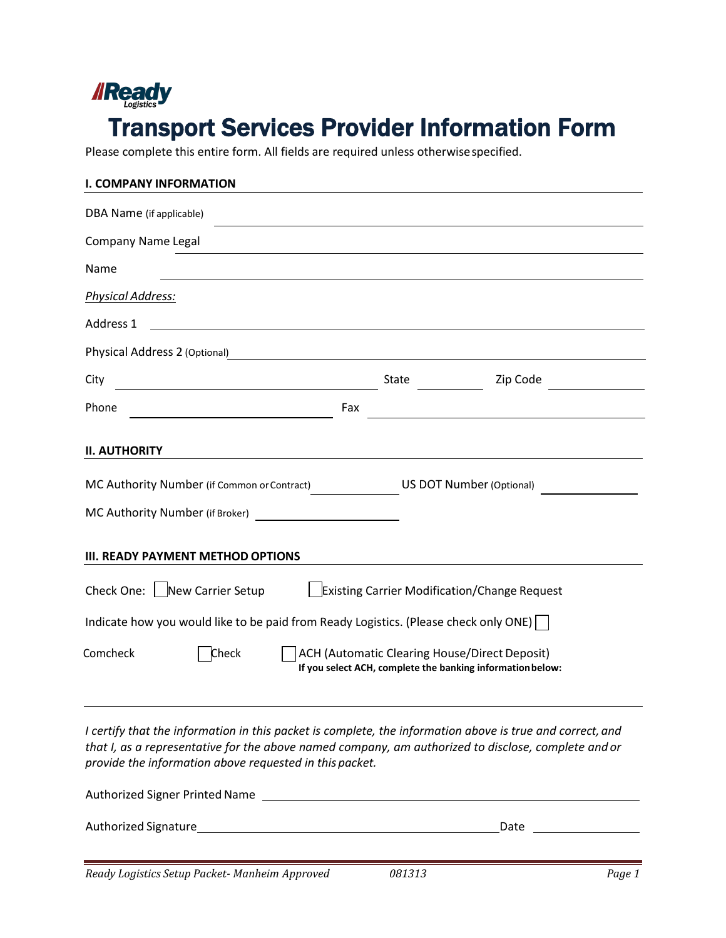

Please complete this entire form. All fields are required unless otherwise specified.

| <b>I. COMPANY INFORMATION</b>                                                                          |                                                                                                                                                                                                                  |
|--------------------------------------------------------------------------------------------------------|------------------------------------------------------------------------------------------------------------------------------------------------------------------------------------------------------------------|
| DBA Name (if applicable)                                                                               |                                                                                                                                                                                                                  |
| Company Name Legal                                                                                     |                                                                                                                                                                                                                  |
| Name                                                                                                   |                                                                                                                                                                                                                  |
| <b>Physical Address:</b>                                                                               |                                                                                                                                                                                                                  |
| Address 1                                                                                              |                                                                                                                                                                                                                  |
| Physical Address 2 (Optional)                                                                          |                                                                                                                                                                                                                  |
| City<br><u> 1989 - Johann Stoff, fransk politik (d. 1989)</u>                                          | State<br>Zip Code                                                                                                                                                                                                |
| Phone                                                                                                  | Fax                                                                                                                                                                                                              |
| <b>II. AUTHORITY</b><br>MC Authority Number (if Common or Contract)<br>MC Authority Number (if Broker) | <b>US DOT Number (Optional)</b>                                                                                                                                                                                  |
| <b>III. READY PAYMENT METHOD OPTIONS</b>                                                               |                                                                                                                                                                                                                  |
| Check One: New Carrier Setup                                                                           | <b>Existing Carrier Modification/Change Request</b>                                                                                                                                                              |
| Indicate how you would like to be paid from Ready Logistics. (Please check only ONE)                   |                                                                                                                                                                                                                  |
| Comcheck<br><b>Check</b>                                                                               | <b>ACH (Automatic Clearing House/Direct Deposit)</b><br>If you select ACH, complete the banking information below:                                                                                               |
| provide the information above requested in this packet.                                                | I certify that the information in this packet is complete, the information above is true and correct, and<br>that I, as a representative for the above named company, am authorized to disclose, complete and or |

| Authorized Signer Printed Name |      |
|--------------------------------|------|
| Authorized Signature           | Date |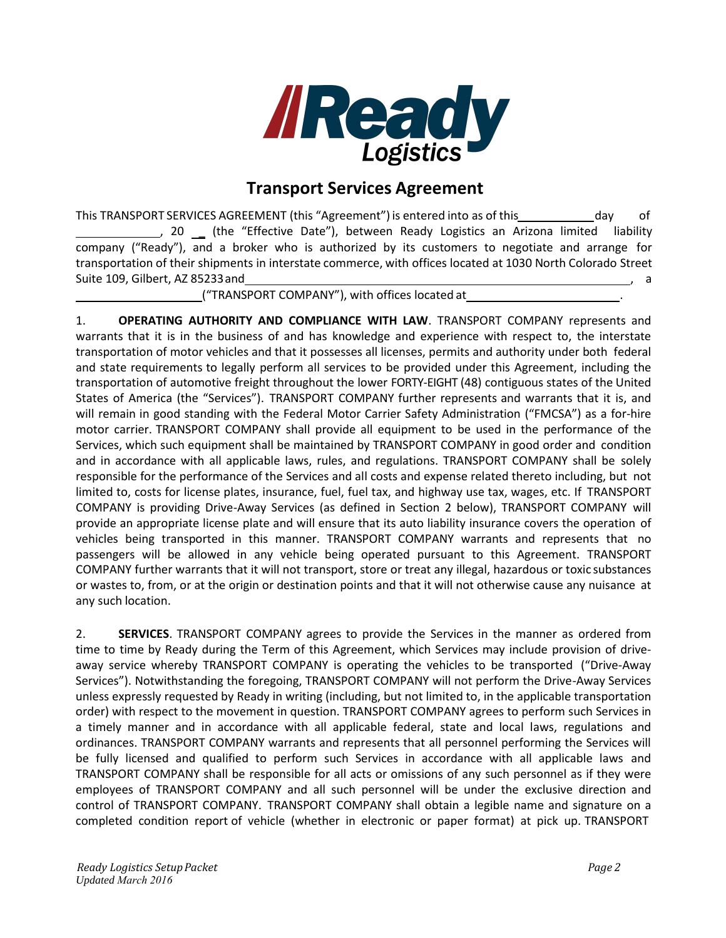

## **Transport Services Agreement**

This TRANSPORT SERVICES AGREEMENT (this "Agreement") is entered into as of this day of 50 L (the "Effective Date"), between Ready Logistics an Arizona limited liability company ("Ready"), and a broker who is authorized by its customers to negotiate and arrange for transportation of their shipments in interstate commerce, with offices located at 1030 North Colorado Street Suite 109, Gilbert, AZ 85233 and

("TRANSPORT COMPANY"), with offices located at .

1. **OPERATING AUTHORITY AND COMPLIANCE WITH LAW**. TRANSPORT COMPANY represents and warrants that it is in the business of and has knowledge and experience with respect to, the interstate transportation of motor vehicles and that it possesses all licenses, permits and authority under both federal and state requirements to legally perform all services to be provided under this Agreement, including the transportation of automotive freight throughout the lower FORTY-EIGHT (48) contiguous states of the United States of America (the "Services"). TRANSPORT COMPANY further represents and warrants that it is, and will remain in good standing with the Federal Motor Carrier Safety Administration ("FMCSA") as a for-hire motor carrier. TRANSPORT COMPANY shall provide all equipment to be used in the performance of the Services, which such equipment shall be maintained by TRANSPORT COMPANY in good order and condition and in accordance with all applicable laws, rules, and regulations. TRANSPORT COMPANY shall be solely responsible for the performance of the Services and all costs and expense related thereto including, but not limited to, costs for license plates, insurance, fuel, fuel tax, and highway use tax, wages, etc. If TRANSPORT COMPANY is providing Drive-Away Services (as defined in Section 2 below), TRANSPORT COMPANY will provide an appropriate license plate and will ensure that its auto liability insurance covers the operation of vehicles being transported in this manner. TRANSPORT COMPANY warrants and represents that no passengers will be allowed in any vehicle being operated pursuant to this Agreement. TRANSPORT COMPANY further warrants that it will not transport, store or treat any illegal, hazardous or toxic substances or wastes to, from, or at the origin or destination points and that it will not otherwise cause any nuisance at any such location.

2. **SERVICES**. TRANSPORT COMPANY agrees to provide the Services in the manner as ordered from time to time by Ready during the Term of this Agreement, which Services may include provision of driveaway service whereby TRANSPORT COMPANY is operating the vehicles to be transported ("Drive-Away Services"). Notwithstanding the foregoing, TRANSPORT COMPANY will not perform the Drive-Away Services unless expressly requested by Ready in writing (including, but not limited to, in the applicable transportation order) with respect to the movement in question. TRANSPORT COMPANY agrees to perform such Services in a timely manner and in accordance with all applicable federal, state and local laws, regulations and ordinances. TRANSPORT COMPANY warrants and represents that all personnel performing the Services will be fully licensed and qualified to perform such Services in accordance with all applicable laws and TRANSPORT COMPANY shall be responsible for all acts or omissions of any such personnel as if they were employees of TRANSPORT COMPANY and all such personnel will be under the exclusive direction and control of TRANSPORT COMPANY. TRANSPORT COMPANY shall obtain a legible name and signature on a completed condition report of vehicle (whether in electronic or paper format) at pick up. TRANSPORT